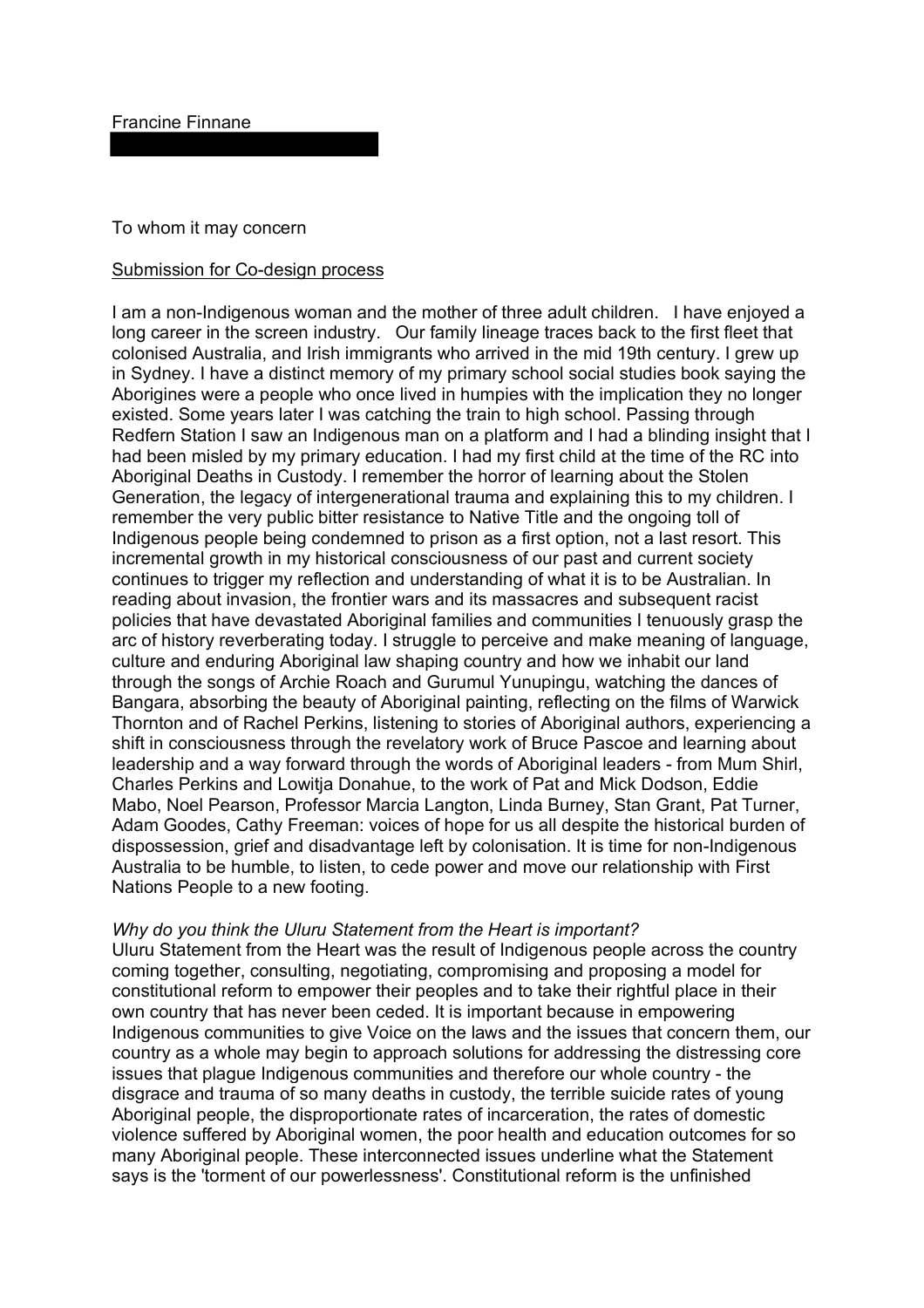To whom it may concern

## Submission for Co-design process

I am a non-Indigenous woman and the mother of three adult children. I have enjoyed a long career in the screen industry. Our family lineage traces back to the first fleet that colonised Australia, and Irish immigrants who arrived in the mid 19th century. I grew up in Sydney. I have a distinct memory of my primary school social studies book saying the Aborigines were a people who once lived in humpies with the implication they no longer existed. Some years later I was catching the train to high school. Passing through Redfern Station I saw an Indigenous man on a platform and I had a blinding insight that I had been misled by my primary education. I had my first child at the time of the RC into Aboriginal Deaths in Custody. I remember the horror of learning about the Stolen Generation, the legacy of intergenerational trauma and explaining this to my children. I remember the very public bitter resistance to Native Title and the ongoing toll of Indigenous people being condemned to prison as a first option, not a last resort. This incremental growth in my historical consciousness of our past and current society continues to trigger my reflection and understanding of what it is to be Australian. In reading about invasion, the frontier wars and its massacres and subsequent racist policies that have devastated Aboriginal families and communities I tenuously grasp the arc of history reverberating today. I struggle to perceive and make meaning of language, culture and enduring Aboriginal law shaping country and how we inhabit our land through the songs of Archie Roach and Gurumul Yunupingu, watching the dances of Bangara, absorbing the beauty of Aboriginal painting, reflecting on the films of Warwick Thornton and of Rachel Perkins, listening to stories of Aboriginal authors, experiencing a shift in consciousness through the revelatory work of Bruce Pascoe and learning about leadership and a way forward through the words of Aboriginal leaders - from Mum Shirl, Charles Perkins and Lowitja Donahue, to the work of Pat and Mick Dodson, Eddie Mabo, Noel Pearson, Professor Marcia Langton, Linda Burney, Stan Grant, Pat Turner, Adam Goodes, Cathy Freeman: voices of hope for us all despite the historical burden of dispossession, grief and disadvantage left by colonisation. It is time for non-Indigenous Australia to be humble, to listen, to cede power and move our relationship with First Nations People to a new footing.

## *Why do you think the Uluru Statement from the Heart is important?*

Uluru Statement from the Heart was the result of Indigenous people across the country coming together, consulting, negotiating, compromising and proposing a model for constitutional reform to empower their peoples and to take their rightful place in their own country that has never been ceded. It is important because in empowering Indigenous communities to give Voice on the laws and the issues that concern them, our country as a whole may begin to approach solutions for addressing the distressing core issues that plague Indigenous communities and therefore our whole country - the disgrace and trauma of so many deaths in custody, the terrible suicide rates of young Aboriginal people, the disproportionate rates of incarceration, the rates of domestic violence suffered by Aboriginal women, the poor health and education outcomes for so many Aboriginal people. These interconnected issues underline what the Statement says is the 'torment of our powerlessness'. Constitutional reform is the unfinished